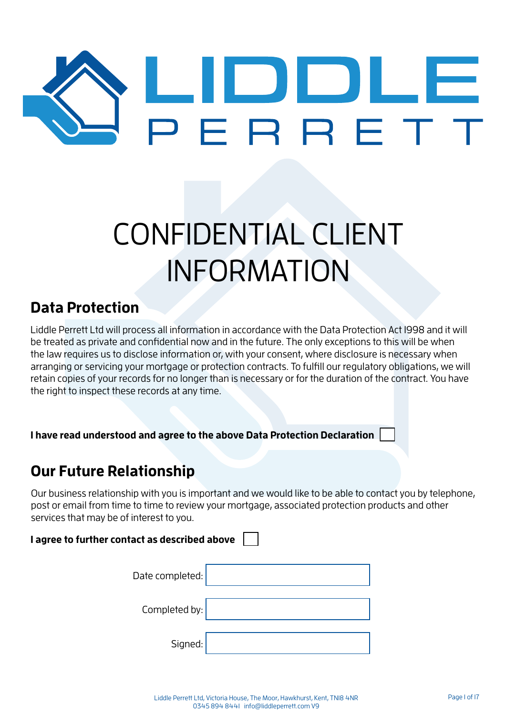# LULL<br>ERRET

# CONFIDENTIAL CLIENT INFORMATION

#### **Data Protection**

Liddle Perrett Ltd will process all information in accordance with the Data Protection Act 1998 and it will be treated as private and confidential now and in the future. The only exceptions to this will be when the law requires us to disclose information or, with your consent, where disclosure is necessary when arranging or servicing your mortgage or protection contracts. To fulfill our regulatory obligations, we will retain copies of your records for no longer than is necessary or for the duration of the contract. You have the right to inspect these records at any time.

**I have read understood and agree to the above Data Protection Declaration**

#### **Our Future Relationship**

Our business relationship with you is important and we would like to be able to contact you by telephone, post or email from time to time to review your mortgage, associated protection products and other services that may be of interest to you.

#### **I agree to further contact as described above**

| Date completed: |  |
|-----------------|--|
| Completed by:   |  |
| Signed:         |  |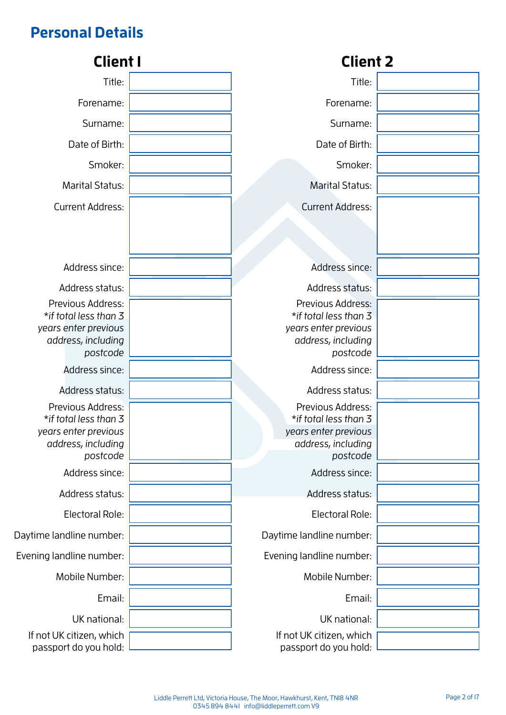# **Personal Details**

| <b>Client I</b>                                                                                      | <b>Client 2</b>                                                                                      |  |
|------------------------------------------------------------------------------------------------------|------------------------------------------------------------------------------------------------------|--|
| Title:                                                                                               | Title:                                                                                               |  |
| Forename:                                                                                            | Forename:                                                                                            |  |
| Surname:                                                                                             | Surname:                                                                                             |  |
| Date of Birth:                                                                                       | Date of Birth:                                                                                       |  |
| Smoker:                                                                                              | Smoker:                                                                                              |  |
| <b>Marital Status:</b>                                                                               | <b>Marital Status:</b>                                                                               |  |
| <b>Current Address:</b>                                                                              | <b>Current Address:</b>                                                                              |  |
|                                                                                                      |                                                                                                      |  |
|                                                                                                      |                                                                                                      |  |
| Address since:                                                                                       | Address since:                                                                                       |  |
| Address status:                                                                                      | Address status:                                                                                      |  |
| Previous Address:<br>*if total less than 3<br>years enter previous<br>address, including<br>postcode | Previous Address:<br>*if total less than 3<br>years enter previous<br>address, including<br>postcode |  |
| Address since:                                                                                       | Address since:                                                                                       |  |
| Address status:                                                                                      | Address status:                                                                                      |  |
| Previous Address:<br>*if total less than 3<br>years enter previous<br>address, including<br>postcode | Previous Address:<br>*if total less than 3<br>years enter previous<br>address, including<br>postcode |  |
| Address since:                                                                                       | Address since:                                                                                       |  |
| Address status:                                                                                      | Address status:                                                                                      |  |
| Electoral Role:                                                                                      | Electoral Role:                                                                                      |  |
| Daytime landline number:                                                                             | Daytime landline number:                                                                             |  |
| Evening landline number:                                                                             | Evening landline number:                                                                             |  |
| Mobile Number:                                                                                       | Mobile Number:                                                                                       |  |
| Email:                                                                                               | Email:                                                                                               |  |
| UK national:                                                                                         | UK national:                                                                                         |  |
| If not UK citizen, which<br>passport do you hold:                                                    | If not UK citizen, which<br>passport do you hold:                                                    |  |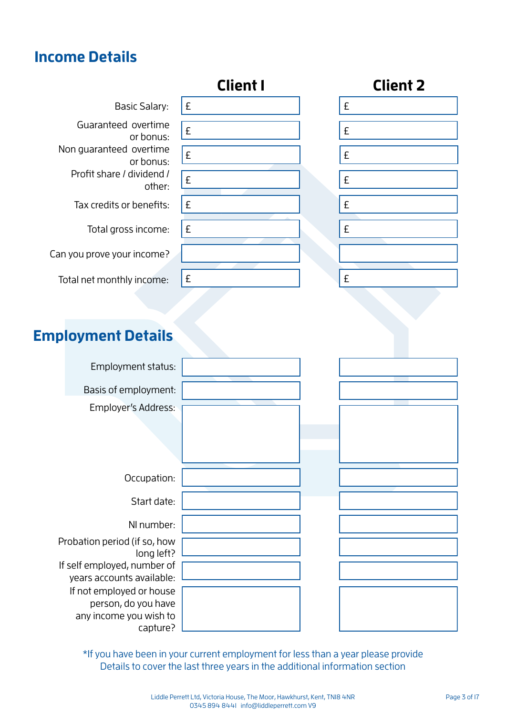#### **Income Details**



\*If you have been in your current employment for less than a year please provide Details to cover the last three years in the additional information section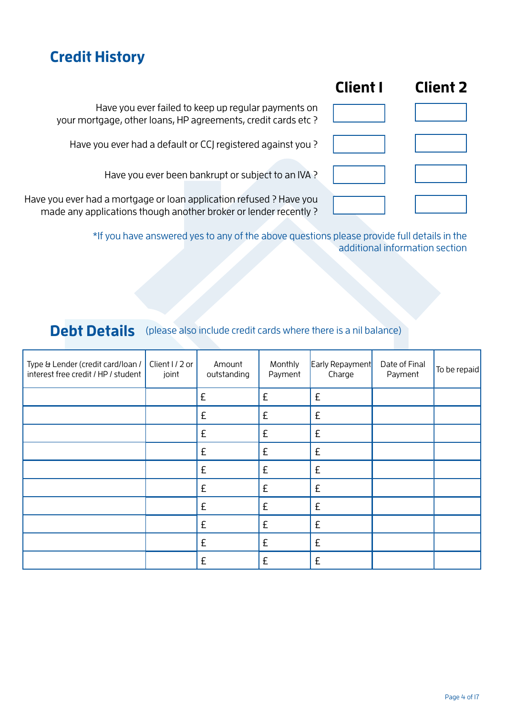#### **Credit History**

| <b>Client I</b> | <b>Client 2</b> |
|-----------------|-----------------|
|                 |                 |
|                 |                 |
|                 |                 |
|                 |                 |

Have you ever failed to keep up regular payments on your mortgage, other loans, HP agreements, credit cards etc ?

Have you ever had a default or CCJ registered against you ?

Have you ever been bankrupt or subject to an IVA ?

Have you ever had a mortgage or loan application refused ? Have you made any applications though another broker or lender recently ?

> \*If you have answered yes to any of the above questions please provide full details in the additional information section

#### **Debt Details** (please also include credit cards where there is a nil balance)

| Type & Lender (credit card/loan /<br>interest free credit / HP / student | Client I / 2 or<br>joint | Amount<br>outstanding | Monthly<br>Payment | Early Repayment<br>Charge | Date of Final<br>Payment | To be repaid |
|--------------------------------------------------------------------------|--------------------------|-----------------------|--------------------|---------------------------|--------------------------|--------------|
|                                                                          |                          | £                     | £                  | £                         |                          |              |
|                                                                          |                          | £                     | £                  | £                         |                          |              |
|                                                                          |                          | £                     | £                  | £                         |                          |              |
|                                                                          |                          | £                     | £                  | £                         |                          |              |
|                                                                          |                          | £                     | £                  | £                         |                          |              |
|                                                                          |                          | £                     | £                  | £                         |                          |              |
|                                                                          |                          | £                     | £                  | £                         |                          |              |
|                                                                          |                          | £                     | £                  | £                         |                          |              |
|                                                                          |                          | £                     | £                  | £                         |                          |              |
|                                                                          |                          | £                     | £                  | £                         |                          |              |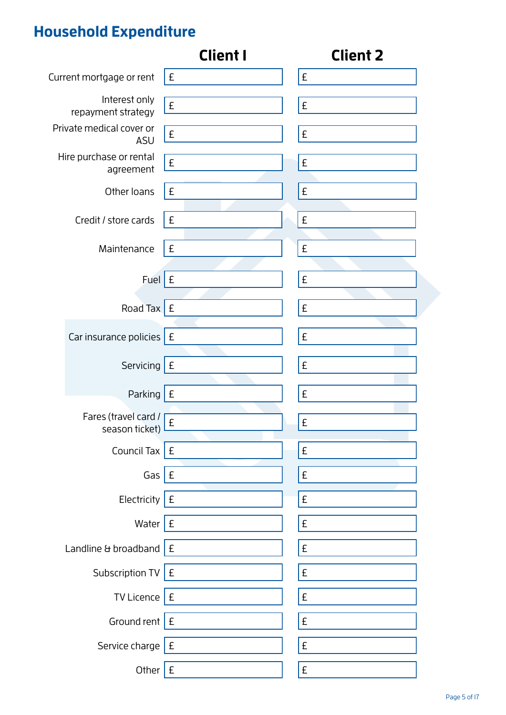# **Household Expenditure**

|                                        | <b>Client I</b>    | <b>Client 2</b>    |
|----------------------------------------|--------------------|--------------------|
| Current mortgage or rent               | £                  | £                  |
| Interest only<br>repayment strategy    | $\pmb{\mathsf{E}}$ | $\pmb{\mathsf{E}}$ |
| Private medical cover or<br><b>ASU</b> | £                  | £                  |
| Hire purchase or rental<br>agreement   | £                  | £                  |
| Other loans                            | £                  | £                  |
| Credit / store cards                   | £                  | £                  |
| Maintenance                            | £                  | £                  |
| Fuel $E$                               |                    | £                  |
| Road Tax $E$                           |                    | £                  |
| Car insurance policies $E$             |                    | £                  |
| Servicing $E$                          |                    | $\pmb{\mathsf{E}}$ |
| Parking                                | E                  | £                  |
| Fares (travel card /<br>season ticket) | $\pmb{\mathsf{E}}$ | £                  |
| Council Tax $E$                        |                    | $\pmb{\mathsf{E}}$ |
| Gas $E$                                |                    | $\pmb{\mathsf{E}}$ |
| Electricity $E$                        |                    | £                  |
| Water $E$                              |                    | $\pmb{\mathsf{E}}$ |
| Landline & broadband $E$               |                    | £                  |
| Subscription TV $E$                    |                    | $\pmb{\mathsf{E}}$ |
| TV Licence $E$                         |                    | £                  |
| Ground rent $E$                        |                    | £                  |
| Service charge $E$                     |                    | £                  |
| Other $E$                              |                    | £                  |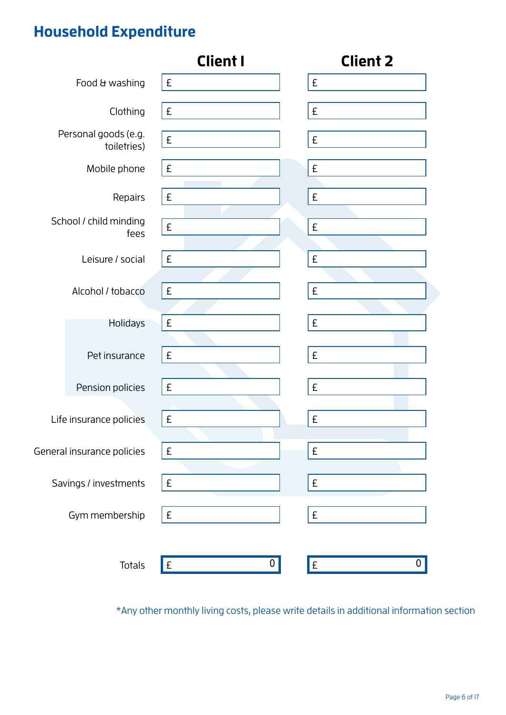# **Household Expenditure**

|                                     | <b>Client I</b>     | <b>Client 2</b>    |
|-------------------------------------|---------------------|--------------------|
| Food & washing                      | E                   | $\pmb{\mathsf{E}}$ |
| Clothing                            | $\pmb{\mathsf{E}}$  | $\pmb{\mathsf{E}}$ |
| Personal goods (e.g.<br>toiletries) | $\pmb{\mathsf{E}}$  | $\pmb{\mathsf{E}}$ |
| Mobile phone                        | $\pmb{\mathsf{E}}$  | $\pmb{\mathsf{E}}$ |
| Repairs                             | $\pmb{\mathsf{E}}$  | £                  |
| School / child minding<br>fees      | $\pmb{\mathsf{E}}$  | £                  |
| Leisure / social                    | £                   | £                  |
| Alcohol / tobacco                   | $\pmb{\mathsf{E}}$  | $\pmb{\mathsf{E}}$ |
| Holidays                            | £                   | $\pmb{\mathsf{E}}$ |
| Pet insurance                       | E                   | $\pmb{\mathsf{E}}$ |
| Pension policies                    | $\pmb{\mathsf{E}}$  | $\pmb{\mathsf{E}}$ |
| Life insurance policies             | $\pmb{\mathsf{E}}$  | £                  |
| General insurance policies          | $\pmb{\mathsf{E}}$  | £                  |
| Savings / investments               | $\pmb{\mathsf{E}}$  | $\pmb{\mathsf{E}}$ |
| Gym membership                      | $\pmb{\mathsf{E}}$  | $\pmb{\mathsf{E}}$ |
| Totals                              | $\overline{O}$<br>E | E<br>Ő             |

\*Any other monthly living costs, please write details in additional information section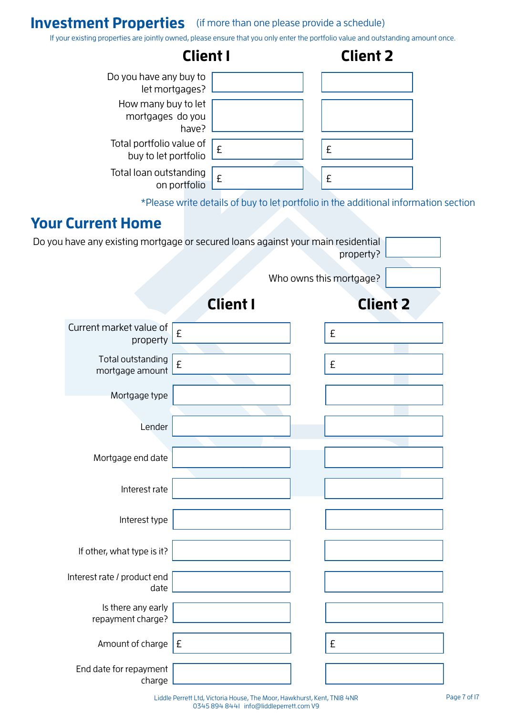#### **Investment Properties** (if more than one please provide a schedule)

If your existing properties are jointly owned, please ensure that you only enter the portfolio value and outstanding amount once.

| If your existing properties are jointly owned, please ensure that you only enter the portfolio value and outstanding amount once. |                                                  |                                                                                     |                         |                 |  |
|-----------------------------------------------------------------------------------------------------------------------------------|--------------------------------------------------|-------------------------------------------------------------------------------------|-------------------------|-----------------|--|
|                                                                                                                                   |                                                  | <b>Client I</b>                                                                     |                         | <b>Client 2</b> |  |
|                                                                                                                                   | Do you have any buy to                           |                                                                                     |                         |                 |  |
|                                                                                                                                   | let mortgages?<br>How many buy to let            |                                                                                     |                         |                 |  |
|                                                                                                                                   | mortgages do you                                 |                                                                                     |                         |                 |  |
|                                                                                                                                   | have?                                            |                                                                                     |                         |                 |  |
|                                                                                                                                   | Total portfolio value of<br>buy to let portfolio | £                                                                                   | £                       |                 |  |
|                                                                                                                                   | Total loan outstanding<br>on portfolio           | £                                                                                   | £                       |                 |  |
|                                                                                                                                   |                                                  | *Please write details of buy to let portfolio in the additional information section |                         |                 |  |
| <b>Your Current Home</b>                                                                                                          |                                                  |                                                                                     |                         |                 |  |
| Do you have any existing mortgage or secured loans against your main residential                                                  |                                                  |                                                                                     |                         |                 |  |
|                                                                                                                                   |                                                  |                                                                                     |                         | property?       |  |
|                                                                                                                                   |                                                  |                                                                                     | Who owns this mortgage? |                 |  |
|                                                                                                                                   |                                                  | <b>Client I</b>                                                                     |                         | <b>Client 2</b> |  |
| Current market value of                                                                                                           | £<br>property                                    |                                                                                     | £                       |                 |  |
| Total outstanding<br>mortgage amount                                                                                              | £                                                |                                                                                     | £                       |                 |  |
| Mortgage type                                                                                                                     |                                                  |                                                                                     |                         |                 |  |
|                                                                                                                                   |                                                  |                                                                                     |                         |                 |  |
|                                                                                                                                   | Lender                                           |                                                                                     |                         |                 |  |
| Mortgage end date                                                                                                                 |                                                  |                                                                                     |                         |                 |  |
|                                                                                                                                   |                                                  |                                                                                     |                         |                 |  |
|                                                                                                                                   | Interest rate                                    |                                                                                     |                         |                 |  |
| Interest type                                                                                                                     |                                                  |                                                                                     |                         |                 |  |
| If other, what type is it?                                                                                                        |                                                  |                                                                                     |                         |                 |  |
| Interest rate / product end                                                                                                       | date                                             |                                                                                     |                         |                 |  |
| Is there any early<br>repayment charge?                                                                                           |                                                  |                                                                                     |                         |                 |  |
| Amount of charge $E$                                                                                                              |                                                  |                                                                                     | £                       |                 |  |
| End date for repayment                                                                                                            |                                                  |                                                                                     |                         |                 |  |

charge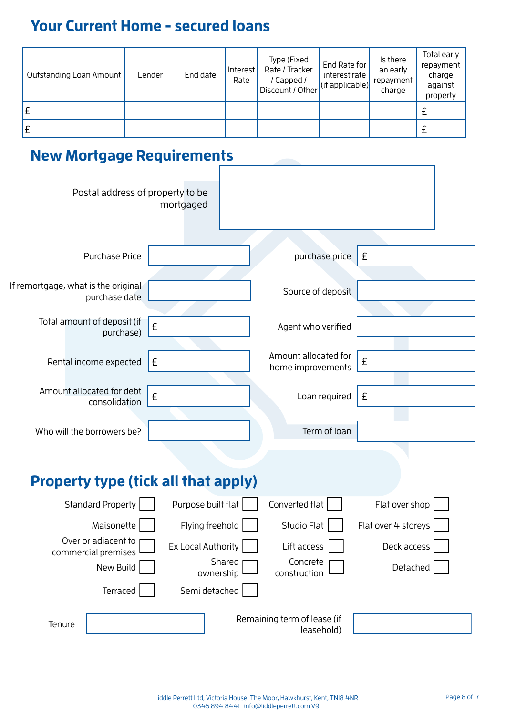# **Your Current Home - secured loans**

| Outstanding Loan Amount | Lender | End date | Interest<br>Rate | Type (Fixed<br>Rate / Tracker<br>/ Capped /<br>Discount / Other | End Rate for<br>interest rate<br>$\left  \text{(if applicable)} \right $ | Is there<br>an early<br>repayment<br>charge | Total early<br>repayment<br>charge<br>against<br>property |
|-------------------------|--------|----------|------------------|-----------------------------------------------------------------|--------------------------------------------------------------------------|---------------------------------------------|-----------------------------------------------------------|
| £                       |        |          |                  |                                                                 |                                                                          |                                             |                                                           |
| £                       |        |          |                  |                                                                 |                                                                          |                                             |                                                           |

Yes No

### **New Mortgage Requirements**

| Postal address of property to be                     | mortgaged           |                                           |                     |
|------------------------------------------------------|---------------------|-------------------------------------------|---------------------|
| <b>Purchase Price</b>                                |                     | purchase price                            | £                   |
| If remortgage, what is the original<br>purchase date |                     | Source of deposit                         |                     |
| Total amount of deposit (if<br>purchase)             | £                   | Agent who verified                        |                     |
| Rental income expected                               | £                   | Amount allocated for<br>home improvements | £                   |
| Amount allocated for debt<br>consolidation           | £                   | Loan required                             | £                   |
| Who will the borrowers be?                           |                     | Term of loan                              |                     |
| <b>Property type (tick all that apply)</b>           |                     |                                           |                     |
|                                                      |                     |                                           |                     |
| <b>Standard Property</b>                             | Purpose built flat  | Converted flat                            | Flat over shop      |
| Maisonette                                           | Flying freehold     | Studio Flat                               | Flat over 4 storeys |
| Over or adjacent to<br>commercial premises           | Ex Local Authority  | Lift access                               | Deck access         |
| New Build                                            | Shared<br>ownership | Concrete<br>construction                  | Detached            |
| Terraced                                             | Semi detached       |                                           |                     |
| Tenure                                               |                     | Remaining term of lease (if<br>leasehold) |                     |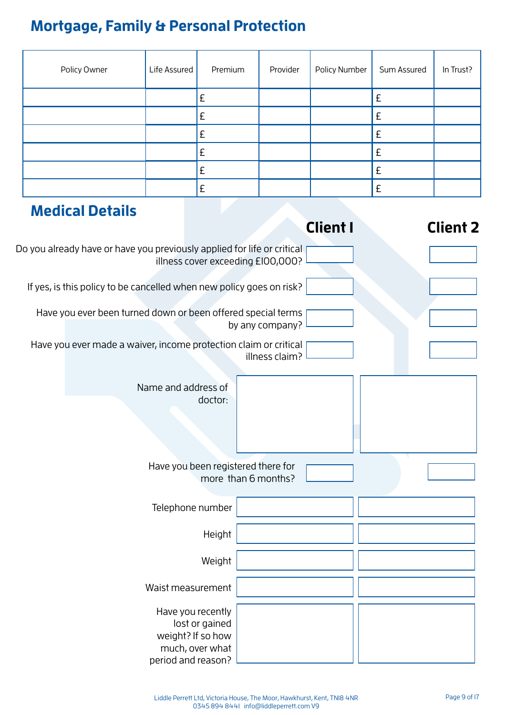# **Mortgage, Family & Personal Protection**

| Policy Owner | Life Assured | Premium | Provider | Policy Number | Sum Assured | In Trust? |
|--------------|--------------|---------|----------|---------------|-------------|-----------|
|              |              |         |          |               |             |           |
|              |              | t       |          |               |             |           |
|              |              | Σ       |          |               |             |           |
|              |              |         |          |               |             |           |
|              |              | £       |          |               | f           |           |
|              |              | Σ       |          |               |             |           |

| <b>Medical Details</b>                                                                            |                                                           |                 |                 |
|---------------------------------------------------------------------------------------------------|-----------------------------------------------------------|-----------------|-----------------|
|                                                                                                   |                                                           | <b>Client I</b> | <b>Client 2</b> |
| Do you already have or have you previously applied for life or critical                           | illness cover exceeding £100,000?                         |                 |                 |
| If yes, is this policy to be cancelled when new policy goes on risk?                              |                                                           |                 |                 |
| Have you ever been turned down or been offered special terms                                      | by any company?                                           |                 |                 |
| Have you ever made a waiver, income protection claim or critical                                  | illness claim?                                            |                 |                 |
| Name and address of                                                                               | doctor:                                                   |                 |                 |
|                                                                                                   | Have you been registered there for<br>more than 6 months? |                 |                 |
| Telephone number                                                                                  |                                                           |                 |                 |
|                                                                                                   | Height                                                    |                 |                 |
|                                                                                                   | Weight                                                    |                 |                 |
| Waist measurement                                                                                 |                                                           |                 |                 |
| Have you recently<br>lost or gained<br>weight? If so how<br>much, over what<br>period and reason? |                                                           |                 |                 |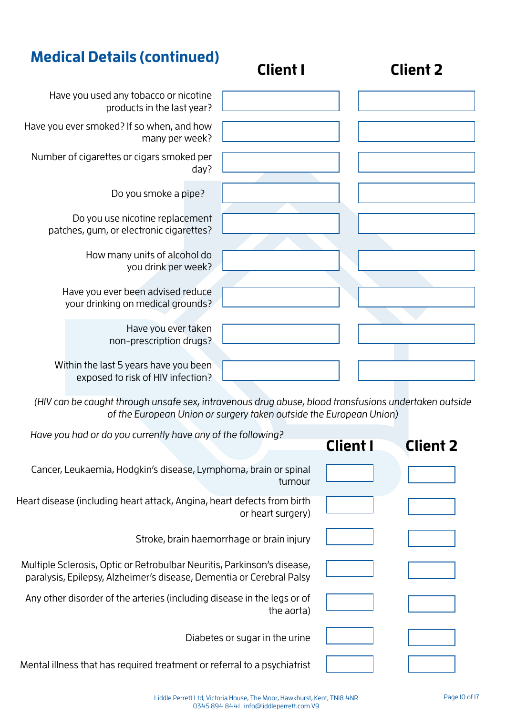| <b>Medical Details (continued)</b>                                         | <b>Client I</b> | <b>Client 2</b> |
|----------------------------------------------------------------------------|-----------------|-----------------|
| Have you used any tobacco or nicotine<br>products in the last year?        |                 |                 |
| Have you ever smoked? If so when, and how<br>many per week?                |                 |                 |
| Number of cigarettes or cigars smoked per<br>day?                          |                 |                 |
| Do you smoke a pipe?                                                       |                 |                 |
| Do you use nicotine replacement<br>patches, gum, or electronic cigarettes? |                 |                 |
| How many units of alcohol do<br>you drink per week?                        |                 |                 |
| Have you ever been advised reduce<br>your drinking on medical grounds?     |                 |                 |
| Have you ever taken<br>non-prescription drugs?                             |                 |                 |
| Within the last 5 years have you been<br>exposed to risk of HIV infection? |                 |                 |

(HIV can be caught through unsafe sex, intravenous drug abuse, blood transfusions undertaken outside of the European Union or surgery taken outside the European Union)

| Have you had or do you currently have any of the following?                                                                                     | <b>Client I</b> | <b>Client 2</b> |
|-------------------------------------------------------------------------------------------------------------------------------------------------|-----------------|-----------------|
| Cancer, Leukaemia, Hodgkin's disease, Lymphoma, brain or spinal<br>tumour                                                                       |                 |                 |
| Heart disease (including heart attack, Angina, heart defects from birth<br>or heart surgery)                                                    |                 |                 |
| Stroke, brain haemorrhage or brain injury                                                                                                       |                 |                 |
| Multiple Sclerosis, Optic or Retrobulbar Neuritis, Parkinson's disease,<br>paralysis, Epilepsy, Alzheimer's disease, Dementia or Cerebral Palsy |                 |                 |
| Any other disorder of the arteries (including disease in the legs or of<br>the aorta)                                                           |                 |                 |
| Diabetes or sugar in the urine                                                                                                                  |                 |                 |
| Mental illness that has required treatment or referral to a psychiatrist                                                                        |                 |                 |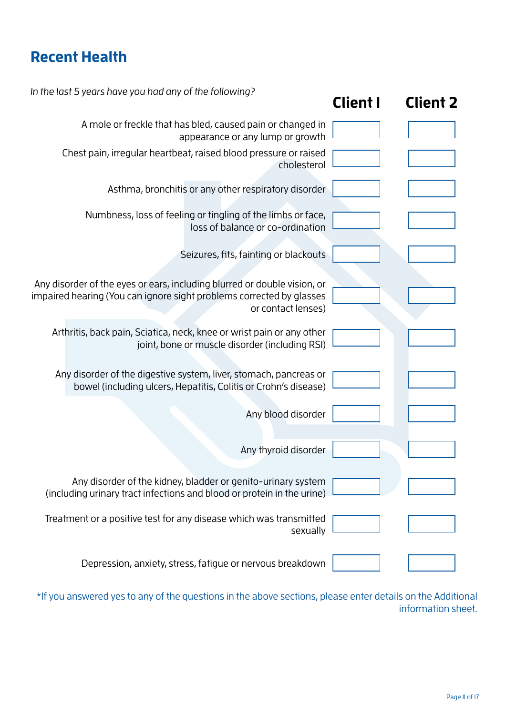# **Recent Health**

| In the last 5 years have you had any of the following?                                                                                                                 | <b>Client I</b> | <b>Client 2</b> |
|------------------------------------------------------------------------------------------------------------------------------------------------------------------------|-----------------|-----------------|
| A mole or freckle that has bled, caused pain or changed in<br>appearance or any lump or growth                                                                         |                 |                 |
| Chest pain, irregular heartbeat, raised blood pressure or raised<br>cholesterol                                                                                        |                 |                 |
| Asthma, bronchitis or any other respiratory disorder                                                                                                                   |                 |                 |
| Numbness, loss of feeling or tingling of the limbs or face,<br>loss of balance or co-ordination                                                                        |                 |                 |
| Seizures, fits, fainting or blackouts                                                                                                                                  |                 |                 |
| Any disorder of the eyes or ears, including blurred or double vision, or<br>impaired hearing (You can ignore sight problems corrected by glasses<br>or contact lenses) |                 |                 |
| Arthritis, back pain, Sciatica, neck, knee or wrist pain or any other<br>joint, bone or muscle disorder (including RSI)                                                |                 |                 |
| Any disorder of the digestive system, liver, stomach, pancreas or<br>bowel (including ulcers, Hepatitis, Colitis or Crohn's disease)                                   |                 |                 |
| Any blood disorder                                                                                                                                                     |                 |                 |
| Any thyroid disorder                                                                                                                                                   |                 |                 |
| Any disorder of the kidney, bladder or genito-urinary system<br>(including urinary tract infections and blood or protein in the urine)                                 |                 |                 |
| Treatment or a positive test for any disease which was transmitted<br>sexually                                                                                         |                 |                 |
| Depression, anxiety, stress, fatigue or nervous breakdown                                                                                                              |                 |                 |

\*If you answered yes to any of the questions in the above sections, please enter details on the Additional information sheet.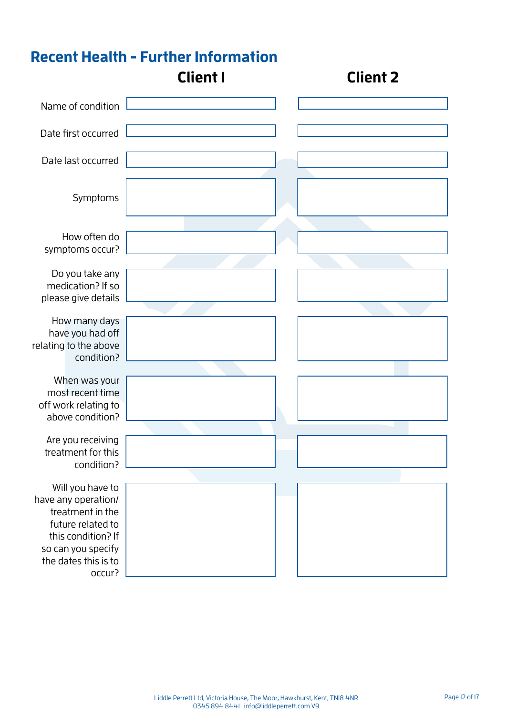#### **Recent Health - Further Information** Name of condition How often do symptoms occur? Do you take any medication? If so please give details How many days have you had off relating to the above condition? When was your most recent time off work relating to above condition? Are you receiving treatment for this condition? Will you have to have any operation/ treatment in the future related to this condition? If so can you specify the dates this is to occur? Date first occurred Date last occurred Symptoms **Client 1 Client 2**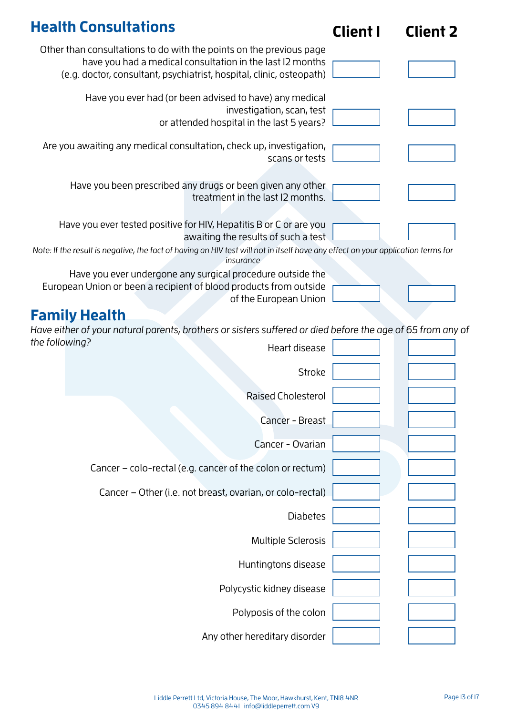| <b>Health Consultations</b>                                                                                                                                                                              | <b>Client I</b> | <b>Client 2</b> |
|----------------------------------------------------------------------------------------------------------------------------------------------------------------------------------------------------------|-----------------|-----------------|
| Other than consultations to do with the points on the previous page<br>have you had a medical consultation in the last I2 months<br>(e.g. doctor, consultant, psychiatrist, hospital, clinic, osteopath) |                 |                 |
| Have you ever had (or been advised to have) any medical<br>investigation, scan, test<br>or attended hospital in the last 5 years?                                                                        |                 |                 |
| Are you awaiting any medical consultation, check up, investigation,<br>scans or tests                                                                                                                    |                 |                 |
| Have you been prescribed any drugs or been given any other<br>treatment in the last I2 months.                                                                                                           |                 |                 |
| Have you ever tested positive for HIV, Hepatitis B or C or are you<br>awaiting the results of such a test                                                                                                |                 |                 |
| Note: If the result is negative, the fact of having an HIV test will not in itself have any effect on your application terms for<br>insurance                                                            |                 |                 |
| Have you ever undergone any surgical procedure outside the<br>European Union or been a recipient of blood products from outside<br>of the European Union                                                 |                 |                 |
| <b>Family Health</b>                                                                                                                                                                                     |                 |                 |
| Have either of your natural parents, brothers or sisters suffered or died before the age of 65 from any of                                                                                               |                 |                 |
| the following?<br>Heart disease                                                                                                                                                                          |                 |                 |
| <b>Stroke</b>                                                                                                                                                                                            |                 |                 |
| <b>Raised Cholesterol</b>                                                                                                                                                                                |                 |                 |

| Raised Cholesterol                                        |  |
|-----------------------------------------------------------|--|
| Cancer - Breast                                           |  |
| Cancer - Ovarian                                          |  |
| Cancer - colo-rectal (e.g. cancer of the colon or rectum) |  |
| Cancer – Other (i.e. not breast, ovarian, or colo-rectal) |  |
| <b>Diabetes</b>                                           |  |
| <b>Multiple Sclerosis</b>                                 |  |
| Huntingtons disease                                       |  |
| Polycystic kidney disease                                 |  |
| Polyposis of the colon                                    |  |
| Any other hereditary disorder                             |  |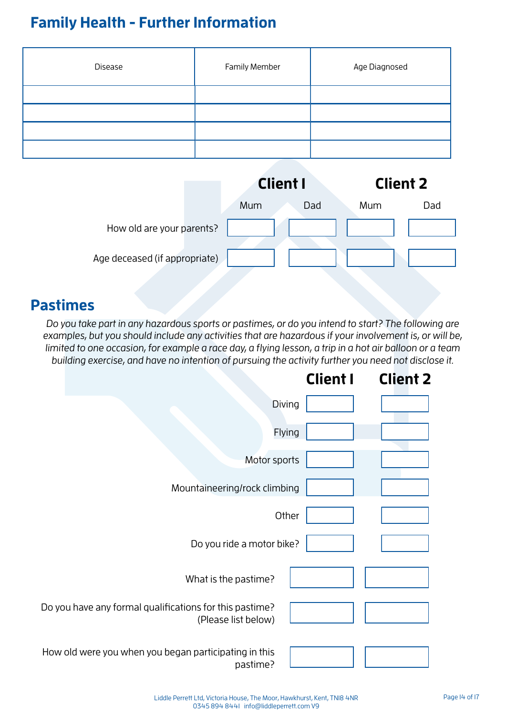# **Family Health - Further Information**

| Disease | <b>Family Member</b> | Age Diagnosed |
|---------|----------------------|---------------|
|         |                      |               |
|         |                      |               |
|         |                      |               |
|         |                      |               |

|                               | <b>Client I</b> |     | <b>Client 2</b> |     |
|-------------------------------|-----------------|-----|-----------------|-----|
|                               | Mum             | Dad | Mum             | Dad |
| How old are your parents?     |                 |     |                 |     |
| Age deceased (if appropriate) |                 |     |                 |     |

#### **Pastimes**

Do you take part in any hazardous sports or pastimes, or do you intend to start? The following are examples, but you should include any activities that are hazardous if your involvement is, or will be, limited to one occasion, for example a race day, a flying lesson, a trip in a hot air balloon or a team building exercise, and have no intention of pursuing the activity further you need not disclose it.

|                                                                                | <b>Client I</b> | <b>Client 2</b> |
|--------------------------------------------------------------------------------|-----------------|-----------------|
| Diving                                                                         |                 |                 |
| Flying                                                                         |                 |                 |
| Motor sports                                                                   |                 |                 |
| Mountaineering/rock climbing                                                   |                 |                 |
| Other                                                                          |                 |                 |
| Do you ride a motor bike?                                                      |                 |                 |
| What is the pastime?                                                           |                 |                 |
| Do you have any formal qualifications for this pastime?<br>(Please list below) |                 |                 |
| How old were you when you began participating in this<br>pastime?              |                 |                 |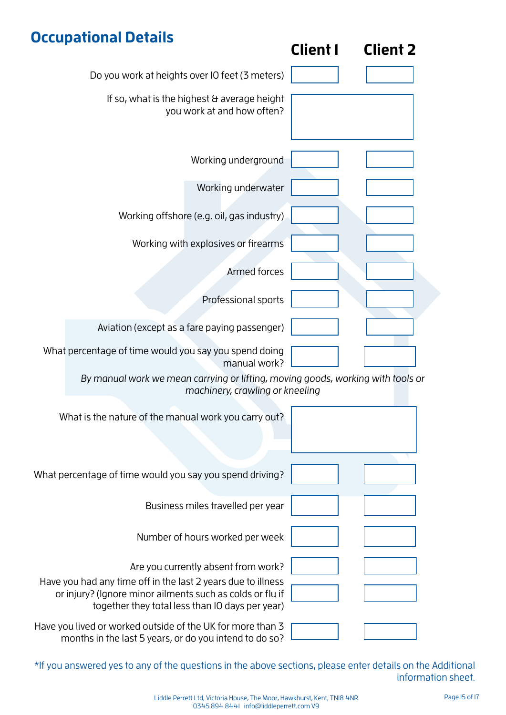# **Occupational Details**

|                                                                                                                                                                              | <b>Client I</b> | <b>Client 2</b> |
|------------------------------------------------------------------------------------------------------------------------------------------------------------------------------|-----------------|-----------------|
| Do you work at heights over IO feet (3 meters)                                                                                                                               |                 |                 |
| If so, what is the highest & average height<br>you work at and how often?                                                                                                    |                 |                 |
| Working underground                                                                                                                                                          |                 |                 |
| Working underwater                                                                                                                                                           |                 |                 |
| Working offshore (e.g. oil, gas industry)                                                                                                                                    |                 |                 |
| Working with explosives or firearms                                                                                                                                          |                 |                 |
| <b>Armed forces</b>                                                                                                                                                          |                 |                 |
| Professional sports                                                                                                                                                          |                 |                 |
| Aviation (except as a fare paying passenger)                                                                                                                                 |                 |                 |
| What percentage of time would you say you spend doing<br>manual work?                                                                                                        |                 |                 |
| By manual work we mean carrying or lifting, moving goods, working with tools or<br>machinery, crawling or kneeling                                                           |                 |                 |
| What is the nature of the manual work you carry out?                                                                                                                         |                 |                 |
|                                                                                                                                                                              |                 |                 |
| What percentage of time would you say you spend driving?                                                                                                                     |                 |                 |
| Business miles travelled per year                                                                                                                                            |                 |                 |
| Number of hours worked per week                                                                                                                                              |                 |                 |
| Are you currently absent from work?                                                                                                                                          |                 |                 |
| Have you had any time off in the last 2 years due to illness<br>or injury? (Ignore minor ailments such as colds or flu if<br>together they total less than IO days per year) |                 |                 |
| Have you lived or worked outside of the UK for more than 3<br>months in the last 5 years, or do you intend to do so?                                                         |                 |                 |

\*If you answered yes to any of the questions in the above sections, please enter details on the Additional information sheet.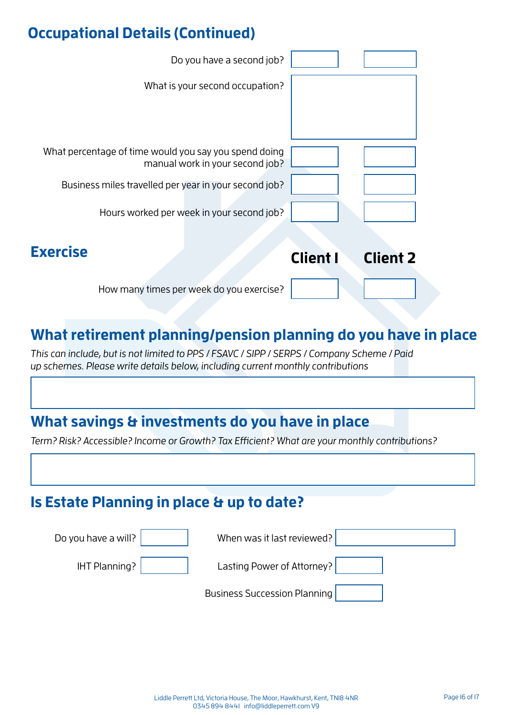### **Occupational Details (Continued)**



#### **What retirement planning/pension planning do you have in place**

This can include, but is not limited to PPS / FSAVC / SIPP / SERPS / Company Scheme / Paid up schemes. Please write details below, including current monthly contributions

#### **What savings & investments do you have in place**

Term? Risk? Accessible? Income or Growth? Tax Efficient? What are your monthly contributions?

#### **Is Estate Planning in place & up to date?**